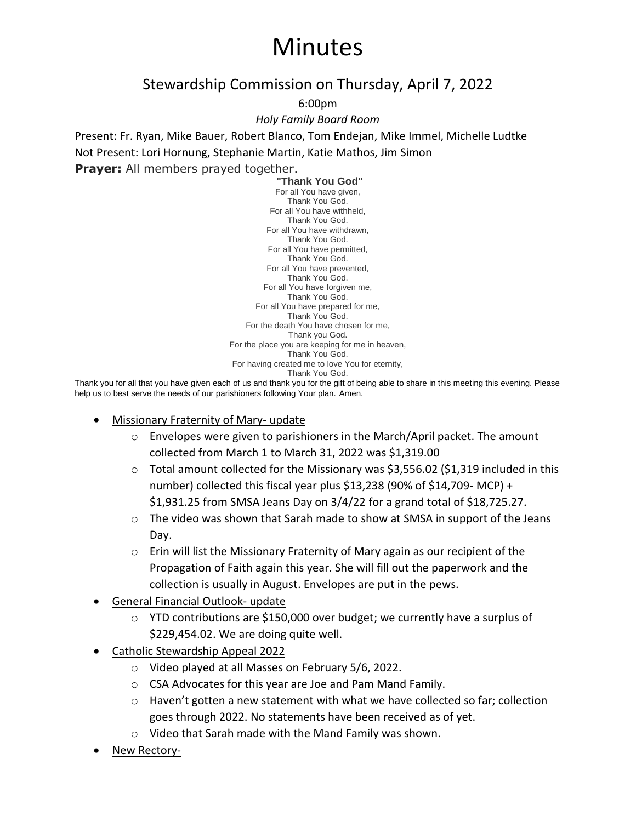## Minutes

## Stewardship Commission on Thursday, April 7, 2022

6:00pm

*Holy Family Board Room*

Present: Fr. Ryan, Mike Bauer, Robert Blanco, Tom Endejan, Mike Immel, Michelle Ludtke Not Present: Lori Hornung, Stephanie Martin, Katie Mathos, Jim Simon

**Prayer:** All members prayed together.

**"Thank You God"** For all You have given, Thank You God. For all You have withheld, Thank You God. For all You have withdrawn, Thank You God. For all You have permitted, Thank You God. For all You have prevented, Thank You God. For all You have forgiven me, Thank You God. For all You have prepared for me, Thank You God. For the death You have chosen for me, Thank you God. For the place you are keeping for me in heaven, Thank You God. For having created me to love You for eternity, Thank You God.

Thank you for all that you have given each of us and thank you for the gift of being able to share in this meeting this evening. Please help us to best serve the needs of our parishioners following Your plan. Amen.

- Missionary Fraternity of Mary- update
	- $\circ$  Envelopes were given to parishioners in the March/April packet. The amount collected from March 1 to March 31, 2022 was \$1,319.00
	- $\circ$  Total amount collected for the Missionary was \$3,556.02 (\$1,319 included in this number) collected this fiscal year plus \$13,238 (90% of \$14,709- MCP) + \$1,931.25 from SMSA Jeans Day on 3/4/22 for a grand total of \$18,725.27.
	- $\circ$  The video was shown that Sarah made to show at SMSA in support of the Jeans Day.
	- $\circ$  Erin will list the Missionary Fraternity of Mary again as our recipient of the Propagation of Faith again this year. She will fill out the paperwork and the collection is usually in August. Envelopes are put in the pews.
- General Financial Outlook- update
	- $\circ$  YTD contributions are \$150,000 over budget; we currently have a surplus of \$229,454.02. We are doing quite well.
- Catholic Stewardship Appeal 2022
	- o Video played at all Masses on February 5/6, 2022.
	- o CSA Advocates for this year are Joe and Pam Mand Family.
	- $\circ$  Haven't gotten a new statement with what we have collected so far; collection goes through 2022. No statements have been received as of yet.
	- o Video that Sarah made with the Mand Family was shown.
- New Rectory-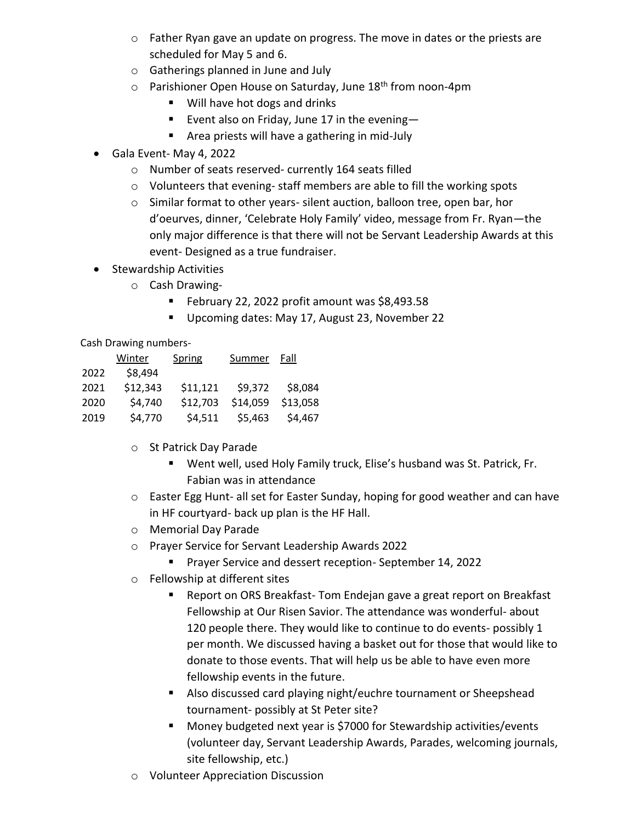- o Father Ryan gave an update on progress. The move in dates or the priests are scheduled for May 5 and 6.
- o Gatherings planned in June and July
- $\circ$  Parishioner Open House on Saturday, June 18<sup>th</sup> from noon-4pm
	- Will have hot dogs and drinks
	- Event also on Friday, June 17 in the evening-
	- Area priests will have a gathering in mid-July
- Gala Event- May 4, 2022
	- o Number of seats reserved- currently 164 seats filled
	- o Volunteers that evening- staff members are able to fill the working spots
	- o Similar format to other years- silent auction, balloon tree, open bar, hor d'oeurves, dinner, 'Celebrate Holy Family' video, message from Fr. Ryan—the only major difference is that there will not be Servant Leadership Awards at this event- Designed as a true fundraiser.
- Stewardship Activities
	- o Cash Drawing-
		- February 22, 2022 profit amount was \$8,493.58
		- Upcoming dates: May 17, August 23, November 22

Cash Drawing numbers-

|      | Winter   | Spring   | Summer   | Fall     |
|------|----------|----------|----------|----------|
| 2022 | \$8,494  |          |          |          |
| 2021 | \$12,343 | \$11,121 | \$9,372  | \$8,084  |
| 2020 | \$4,740  | \$12,703 | \$14,059 | \$13,058 |
| 2019 | \$4,770  | \$4,511  | \$5,463  | \$4,467  |

- o St Patrick Day Parade
	- Went well, used Holy Family truck, Elise's husband was St. Patrick, Fr. Fabian was in attendance
- o Easter Egg Hunt- all set for Easter Sunday, hoping for good weather and can have in HF courtyard- back up plan is the HF Hall.
- o Memorial Day Parade
- o Prayer Service for Servant Leadership Awards 2022
	- Prayer Service and dessert reception- September 14, 2022
- o Fellowship at different sites
	- Report on ORS Breakfast- Tom Endejan gave a great report on Breakfast Fellowship at Our Risen Savior. The attendance was wonderful- about 120 people there. They would like to continue to do events- possibly 1 per month. We discussed having a basket out for those that would like to donate to those events. That will help us be able to have even more fellowship events in the future.
	- Also discussed card playing night/euchre tournament or Sheepshead tournament- possibly at St Peter site?
	- Money budgeted next year is \$7000 for Stewardship activities/events (volunteer day, Servant Leadership Awards, Parades, welcoming journals, site fellowship, etc.)
- o Volunteer Appreciation Discussion